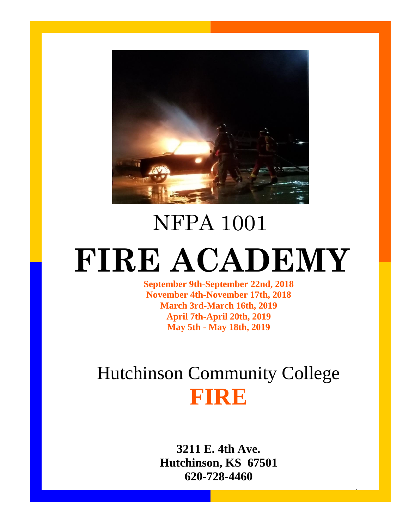

# NFPA 1001 **FIRE ACADEMY**

**September 9th-September 22nd, 2018 November 4th-November 17th, 2018 March 3rd-March 16th, 2019 April 7th-April 20th, 2019 May 5th - May 18th, 2019**

## Hutchinson Community College **FIRE**

**3211 E. 4th Ave. Hutchinson, KS 67501 620-728-4460**

1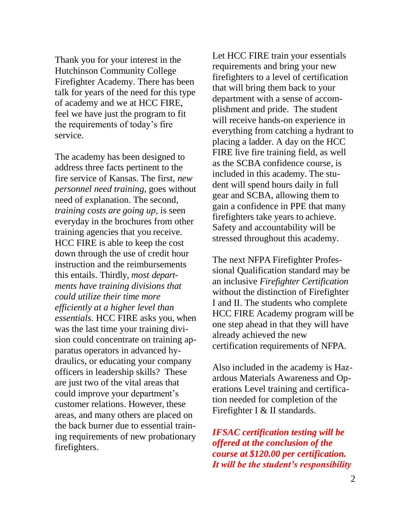Thank you for your interest in the Hutchinson Community College Firefighter Academy. There has been talk for years of the need for this type of academy and we at HCC FIRE, feel we have just the program to fit the requirements of today's fire service.

The academy has been designed to address three facts pertinent to the fire service of Kansas. The first, *new personnel need training,* goes without need of explanation. The second, *training costs are going up,* is seen everyday in the brochures from other training agencies that you receive. HCC FIRE is able to keep the cost down through the use of credit hour instruction and the reimbursements this entails. Thirdly, *most departments have training divisions that could utilize their time more efficiently at a higher level than essentials.* HCC FIRE asks you, when was the last time your training division could concentrate on training apparatus operators in advanced hydraulics, or educating your company officers in leadership skills? These are just two of the vital areas that could improve your department's customer relations. However, these areas, and many others are placed on the back burner due to essential training requirements of new probationary firefighters.

Let HCC FIRE train your essentials requirements and bring your new firefighters to a level of certification that will bring them back to your department with a sense of accomplishment and pride. The student will receive hands-on experience in everything from catching a hydrant to placing a ladder. A day on the HCC FIRE live fire training field, as well as the SCBA confidence course, is included in this academy. The student will spend hours daily in full gear and SCBA, allowing them to gain a confidence in PPE that many firefighters take years to achieve. Safety and accountability will be stressed throughout this academy.

The next NFPA Firefighter Professional Qualification standard may be an inclusive *Firefighter Certification*  without the distinction of Firefighter I and II. The students who complete HCC FIRE Academy program will be one step ahead in that they will have already achieved the new certification requirements of NFPA.

Also included in the academy is Hazardous Materials Awareness and Operations Level training and certification needed for completion of the Firefighter I & II standards.

*IFSAC certification testing will be offered at the conclusion of the course at \$120.00 per certification. It will be the student's responsibility*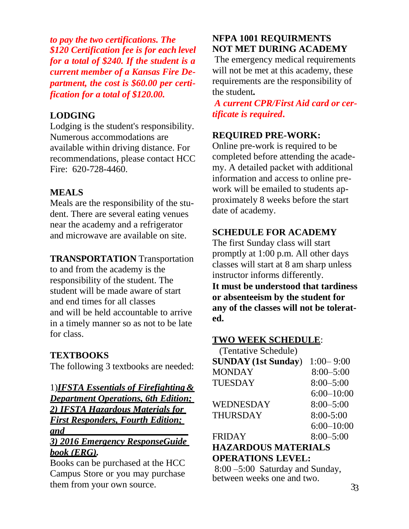*to pay the two certifications. The \$120 Certification fee is for each level for a total of \$240. If the student is a current member of a Kansas Fire Department, the cost is \$60.00 per certification for a total of \$120.00.*

#### **LODGING**

Lodging is the student's responsibility. Numerous accommodations are available within driving distance. For recommendations, please contact HCC Fire: 620-728-4460.

#### **MEALS**

Meals are the responsibility of the student. There are several eating venues near the academy and a refrigerator and microwave are available on site.

#### **TRANSPORTATION** Transportation

to and from the academy is the responsibility of the student. The student will be made aware of start and end times for all classes and will be held accountable to arrive in a timely manner so as not to be late for class.

#### **TEXTBOOKS**

The following 3 textbooks are needed:

#### 1)*IFSTA Essentials of Firefighting & Department Operations, 6th Edition; 2) IFSTA Hazardous Materials for First Responders, Fourth Edition; and 3) 2016 Emergency ResponseGuide*

### *book (ERG).*

Books can be purchased at the HCC Campus Store or you may purchase them from your own source.

#### **NFPA 1001 REQUIRMENTS NOT MET DURING ACADEMY**

The emergency medical requirements will not be met at this academy, these requirements are the responsibility of the student*.*

*A current CPR/First Aid card or certificate is required***.**

#### **REQUIRED PRE-WORK:**

Online pre-work is required to be completed before attending the academy. A detailed packet with additional information and access to online prework will be emailed to students approximately 8 weeks before the start date of academy.

#### **SCHEDULE FOR ACADEMY**

The first Sunday class will start promptly at 1:00 p.m. All other days classes will start at 8 am sharp unless instructor informs differently.

**It must be understood that tardiness or absenteeism by the student for any of the classes will not be tolerated.**

#### **TWO WEEK SCHEDULE**:

| (Tentative Schedule)       |                |
|----------------------------|----------------|
| <b>SUNDAY</b> (1st Sunday) | $1:00 - 9:00$  |
| <b>MONDAY</b>              | $8:00 - 5:00$  |
| <b>TUESDAY</b>             | $8:00 - 5:00$  |
|                            | $6:00 - 10:00$ |
| <b>WEDNESDAY</b>           | $8:00 - 5:00$  |
| <b>THURSDAY</b>            | 8:00-5:00      |
|                            | $6:00 - 10:00$ |
| <b>FRIDAY</b>              | $8:00 - 5:00$  |
| HAZADDOHE MATEDIAI E       |                |

#### **HAZARDOUS MATERIALS OPERATIONS LEVEL:**

8:00 –5:00 Saturday and Sunday, between weeks one and two.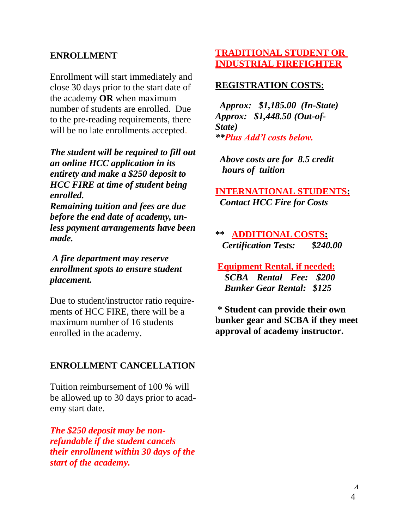#### **ENROLLMENT**

Enrollment will start immediately and close 30 days prior to the start date of the academy **OR** when maximum number of students are enrolled. Due to the pre-reading requirements, there will be no late enrollments accepted.

*The student will be required to fill out an online HCC application in its entirety and make a \$250 deposit to HCC FIRE at time of student being enrolled. Remaining tuition and fees are due* 

*before the end date of academy, unless payment arrangements have been made.*

*A fire department may reserve enrollment spots to ensure student placement.*

Due to student/instructor ratio requirements of HCC FIRE, there will be a maximum number of 16 students enrolled in the academy.

#### **ENROLLMENT CANCELLATION**

Tuition reimbursement of 100 % will be allowed up to 30 days prior to academy start date.

*The \$250 deposit may be nonrefundable if the student cancels their enrollment within 30 days of the start of the academy.*

#### **TRADITIONAL STUDENT OR INDUSTRIAL FIREFIGHTER**

#### **REGISTRATION COSTS:**

*Approx: \$1,185.00 (In-State) Approx: \$1,448.50 (Out-of-State) \*\*Plus Add'l costs below.*

*Above costs are for 8.5 credit hours of tuition*

**INTERNATIONAL STUDENTS:** *Contact HCC Fire for Costs*

**\*\* ADDITIONAL COSTS:** *Certification Tests: \$240.00*

**Equipment Rental, if needed:**  *SCBA Rental Fee: \$200 Bunker Gear Rental: \$125*

**\* Student can provide their own bunker gear and SCBA if they meet approval of academy instructor.**